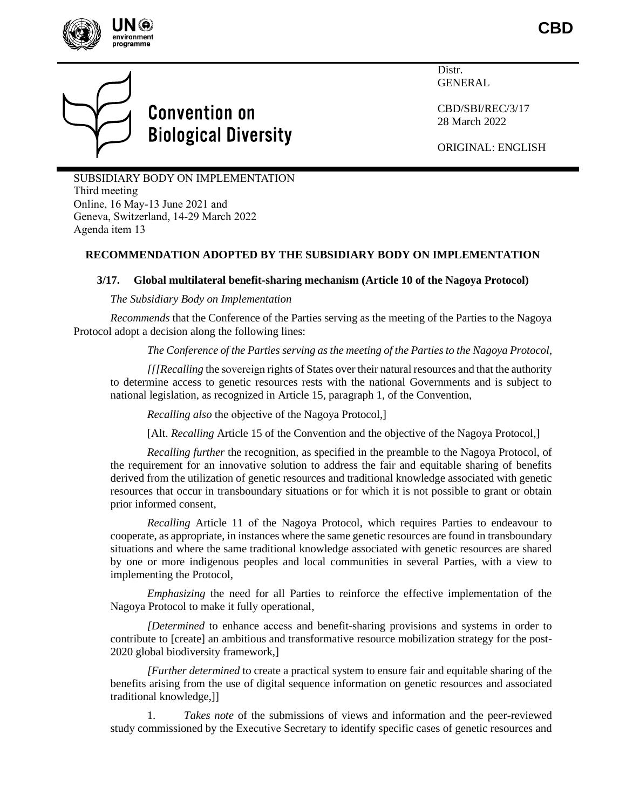

**CBD**



# **Convention on Biological Diversity**

Distr. GENERAL

CBD/SBI/REC/3/17 28 March 2022

ORIGINAL: ENGLISH

SUBSIDIARY BODY ON IMPLEMENTATION Third meeting Online, 16 May-13 June 2021 and Geneva, Switzerland, 14-29 March 2022 Agenda item 13

## **RECOMMENDATION ADOPTED BY THE SUBSIDIARY BODY ON IMPLEMENTATION**

## **3/17. Global multilateral benefit-sharing mechanism (Article 10 of the Nagoya Protocol)**

### *The Subsidiary Body on Implementation*

*Recommends* that the Conference of the Parties serving as the meeting of the Parties to the Nagoya Protocol adopt a decision along the following lines:

*The Conference of the Parties serving as the meeting of the Parties to the Nagoya Protocol*,

*[[[Recalling* the sovereign rights of States over their natural resources and that the authority to determine access to genetic resources rests with the national Governments and is subject to national legislation, as recognized in Article 15, paragraph 1, of the Convention,

*Recalling also* the objective of the Nagoya Protocol,]

[Alt. *Recalling* Article 15 of the Convention and the objective of the Nagoya Protocol,]

*Recalling further* the recognition, as specified in the preamble to the Nagoya Protocol, of the requirement for an innovative solution to address the fair and equitable sharing of benefits derived from the utilization of genetic resources and traditional knowledge associated with genetic resources that occur in transboundary situations or for which it is not possible to grant or obtain prior informed consent,

*Recalling* Article 11 of the Nagoya Protocol, which requires Parties to endeavour to cooperate, as appropriate, in instances where the same genetic resources are found in transboundary situations and where the same traditional knowledge associated with genetic resources are shared by one or more indigenous peoples and local communities in several Parties, with a view to implementing the Protocol,

*Emphasizing* the need for all Parties to reinforce the effective implementation of the Nagoya Protocol to make it fully operational,

*[Determined* to enhance access and benefit-sharing provisions and systems in order to contribute to [create] an ambitious and transformative resource mobilization strategy for the post-2020 global biodiversity framework,]

*[Further determined* to create a practical system to ensure fair and equitable sharing of the benefits arising from the use of digital sequence information on genetic resources and associated traditional knowledge,]]

1. *Takes note* of the submissions of views and information and the peer-reviewed study commissioned by the Executive Secretary to identify specific cases of genetic resources and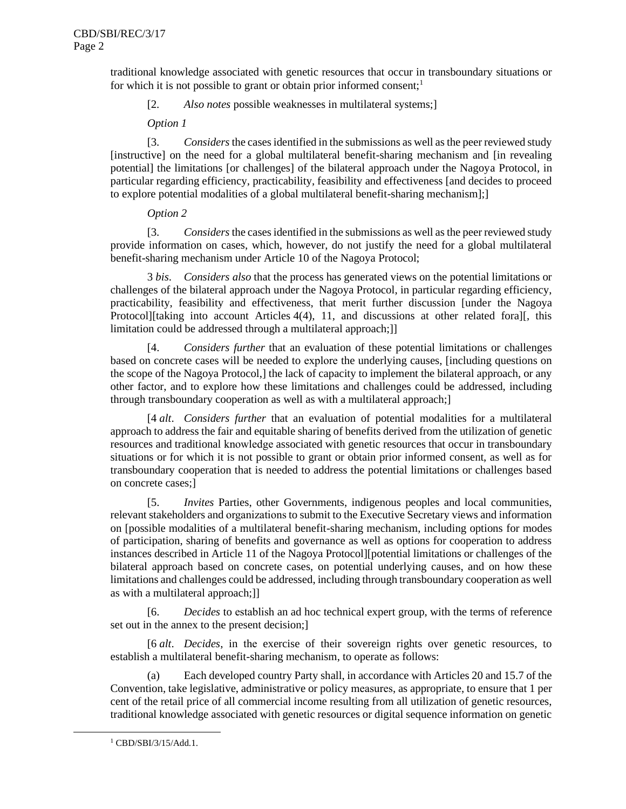traditional knowledge associated with genetic resources that occur in transboundary situations or for which it is not possible to grant or obtain prior informed consent;<sup>1</sup>

[2. *Also notes* possible weaknesses in multilateral systems;]

*Option 1*

[3. *Considers*the cases identified in the submissions as well as the peer reviewed study [instructive] on the need for a global multilateral benefit-sharing mechanism and [in revealing potential] the limitations [or challenges] of the bilateral approach under the Nagoya Protocol, in particular regarding efficiency, practicability, feasibility and effectiveness [and decides to proceed to explore potential modalities of a global multilateral benefit-sharing mechanism];]

## *Option 2*

[3. *Considers*the cases identified in the submissions as well as the peer reviewed study provide information on cases, which, however, do not justify the need for a global multilateral benefit-sharing mechanism under Article 10 of the Nagoya Protocol;

3 *bis*. *Considers also* that the process has generated views on the potential limitations or challenges of the bilateral approach under the Nagoya Protocol, in particular regarding efficiency, practicability, feasibility and effectiveness, that merit further discussion [under the Nagoya Protocol][taking into account Articles 4(4), 11, and discussions at other related fora][, this limitation could be addressed through a multilateral approach;]

[4. *Considers further* that an evaluation of these potential limitations or challenges based on concrete cases will be needed to explore the underlying causes, [including questions on the scope of the Nagoya Protocol,] the lack of capacity to implement the bilateral approach, or any other factor, and to explore how these limitations and challenges could be addressed, including through transboundary cooperation as well as with a multilateral approach;]

[4 *alt*. *Considers further* that an evaluation of potential modalities for a multilateral approach to address the fair and equitable sharing of benefits derived from the utilization of genetic resources and traditional knowledge associated with genetic resources that occur in transboundary situations or for which it is not possible to grant or obtain prior informed consent, as well as for transboundary cooperation that is needed to address the potential limitations or challenges based on concrete cases;]

[5. *Invites* Parties, other Governments, indigenous peoples and local communities, relevant stakeholders and organizations to submit to the Executive Secretary views and information on [possible modalities of a multilateral benefit-sharing mechanism, including options for modes of participation, sharing of benefits and governance as well as options for cooperation to address instances described in Article 11 of the Nagoya Protocol][potential limitations or challenges of the bilateral approach based on concrete cases, on potential underlying causes, and on how these limitations and challenges could be addressed, including through transboundary cooperation as well as with a multilateral approach;]]

[6. *Decides* to establish an ad hoc technical expert group, with the terms of reference set out in the annex to the present decision;]

[6 *alt*. *Decides*, in the exercise of their sovereign rights over genetic resources, to establish a multilateral benefit-sharing mechanism, to operate as follows:

(a) Each developed country Party shall, in accordance with Articles 20 and 15.7 of the Convention, take legislative, administrative or policy measures, as appropriate, to ensure that 1 per cent of the retail price of all commercial income resulting from all utilization of genetic resources, traditional knowledge associated with genetic resources or digital sequence information on genetic

<sup>1</sup> CBD/SBI/3/15/Add.1.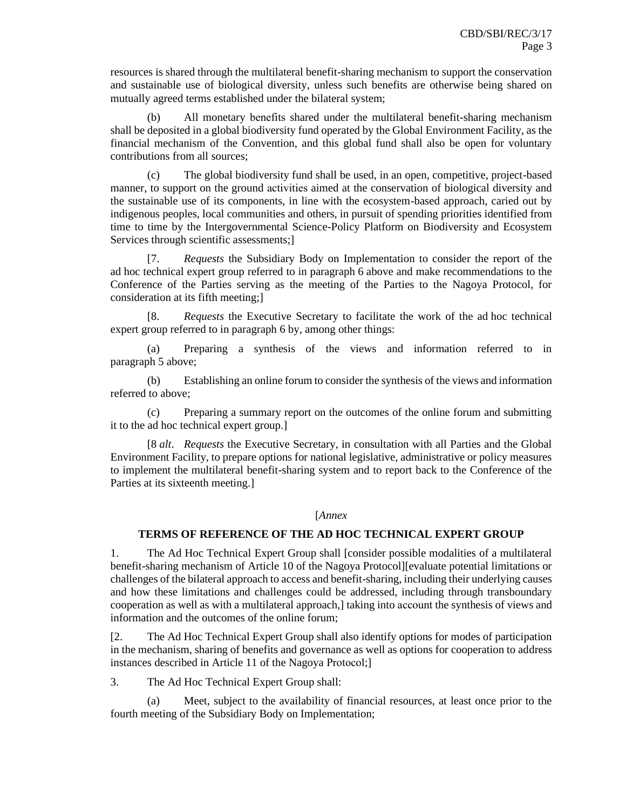resources is shared through the multilateral benefit-sharing mechanism to support the conservation and sustainable use of biological diversity, unless such benefits are otherwise being shared on mutually agreed terms established under the bilateral system;

(b) All monetary benefits shared under the multilateral benefit-sharing mechanism shall be deposited in a global biodiversity fund operated by the Global Environment Facility, as the financial mechanism of the Convention, and this global fund shall also be open for voluntary contributions from all sources;

(c) The global biodiversity fund shall be used, in an open, competitive, project-based manner, to support on the ground activities aimed at the conservation of biological diversity and the sustainable use of its components, in line with the ecosystem-based approach, caried out by indigenous peoples, local communities and others, in pursuit of spending priorities identified from time to time by the Intergovernmental Science-Policy Platform on Biodiversity and Ecosystem Services through scientific assessments;]

[7. *Requests* the Subsidiary Body on Implementation to consider the report of the ad hoc technical expert group referred to in paragraph 6 above and make recommendations to the Conference of the Parties serving as the meeting of the Parties to the Nagoya Protocol, for consideration at its fifth meeting;]

[8. *Requests* the Executive Secretary to facilitate the work of the ad hoc technical expert group referred to in paragraph 6 by, among other things:

(a) Preparing a synthesis of the views and information referred to in paragraph 5 above;

(b) Establishing an online forum to consider the synthesis of the views and information referred to above;

(c) Preparing a summary report on the outcomes of the online forum and submitting it to the ad hoc technical expert group.]

[8 *alt*. *Requests* the Executive Secretary, in consultation with all Parties and the Global Environment Facility, to prepare options for national legislative, administrative or policy measures to implement the multilateral benefit-sharing system and to report back to the Conference of the Parties at its sixteenth meeting.]

#### [*Annex*

### **TERMS OF REFERENCE OF THE AD HOC TECHNICAL EXPERT GROUP**

1. The Ad Hoc Technical Expert Group shall [consider possible modalities of a multilateral benefit-sharing mechanism of Article 10 of the Nagoya Protocol][evaluate potential limitations or challenges of the bilateral approach to access and benefit-sharing, including their underlying causes and how these limitations and challenges could be addressed, including through transboundary cooperation as well as with a multilateral approach,] taking into account the synthesis of views and information and the outcomes of the online forum;

[2. The Ad Hoc Technical Expert Group shall also identify options for modes of participation in the mechanism, sharing of benefits and governance as well as options for cooperation to address instances described in Article 11 of the Nagoya Protocol;]

3. The Ad Hoc Technical Expert Group shall:

(a) Meet, subject to the availability of financial resources, at least once prior to the fourth meeting of the Subsidiary Body on Implementation;